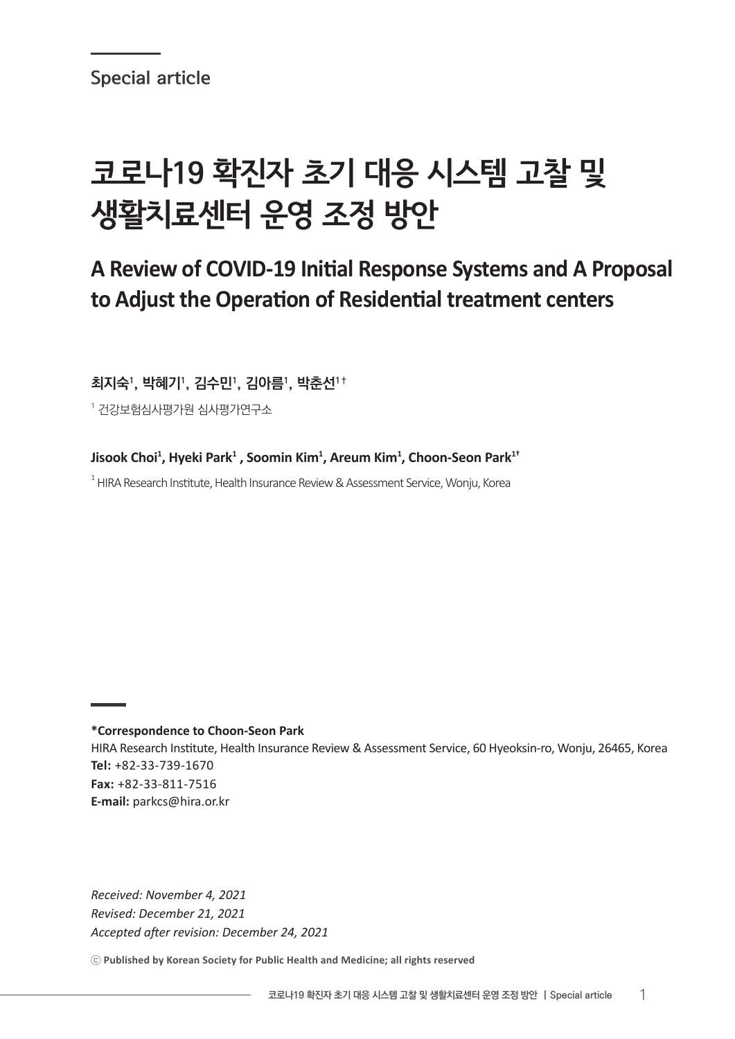Special article

# 코로나19 확진자 초기 대응 시스템 고찰 및 생활치료센터 운영 조정 방안

# **A Review of COVID-19 Initial Response Systems and A Proposal to Adjust the Operation of Residential treatment centers**

최지숙', 박혜기', 김수민', 김아름', 박춘선'†

 $^\text{1}$  건강보험심사평가원 심사평가연구소

**Jisook Choi<sup>1</sup> , Hyeki Park<sup>1</sup> , Soomin Kim<sup>1</sup> , Areum Kim<sup>1</sup> , Choon-Seon Park1†**

 $^{\rm 1}$ HIRA Research Institute, Health Insurance Review & Assessment Service, Wonju, Korea

# **\*Correspondence to Choon-Seon Park**

HIRA Research Institute, Health Insurance Review & Assessment Service, 60 Hyeoksin-ro, Wonju, 26465, Korea **Tel:** +82-33-739-1670 **Fax:** +82-33-811-7516 **E-mail:** parkcs@hira.or.kr

*Received: November 4, 2021 Revised: December 21, 2021 Accepted after revision: December 24, 2021*

ⓒ **Published by Korean Society for Public Health and Medicine; all rights reserved**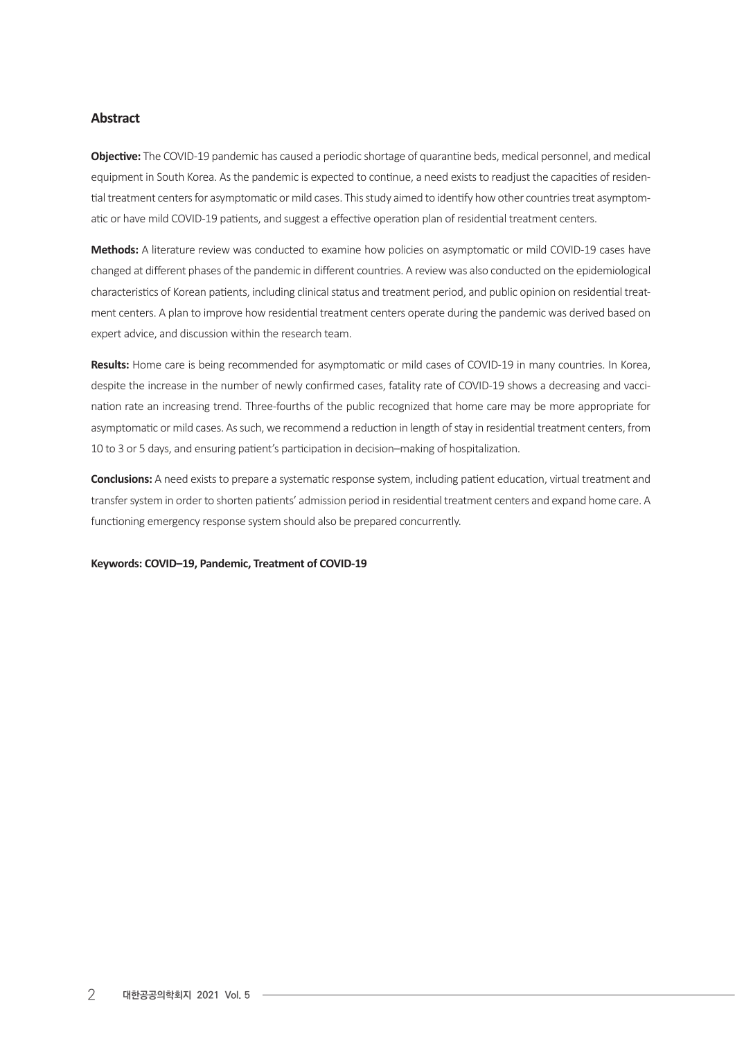# **Abstract**

**Objective:** The COVID-19 pandemic has caused a periodic shortage of quarantine beds, medical personnel, and medical equipment in South Korea. As the pandemic is expected to continue, a need exists to readjust the capacities of residential treatment centers for asymptomatic or mild cases. This study aimed to identify how other countries treat asymptomatic or have mild COVID-19 patients, and suggest a effective operation plan of residential treatment centers.

**Methods:** A literature review was conducted to examine how policies on asymptomatic or mild COVID-19 cases have changed at different phases of the pandemic in different countries. A reviewwas also conducted on the epidemiological characteristics of Korean patients, including clinical status and treatment period, and public opinion on residential treatment centers. A plan to improve how residential treatment centers operate during the pandemic was derived based on expert advice, and discussion within the research team.

**Results:** Home care is being recommended for asymptomatic or mild cases of COVID-19 in many countries. In Korea, despite the increase in the number of newly confirmed cases, fatality rate of COVID-19 shows a decreasing and vaccination rate an increasing trend. Three-fourths of the public recognized that home care may be more appropriate for asymptomatic or mild cases. As such, we recommend a reduction in length of stay in residential treatment centers, from 10 to 3 or 5 days, and ensuring patient's participation in decision-making of hospitalization.

**Conclusions:** A need exists to prepare a systematic response system, including patient education, virtual treatment and transfer system in order to shorten patients' admission period in residential treatment centers and expand home care. A functioning emergency response system should also be prepared concurrently.

#### **Keywords: COVID–19, Pandemic, Treatment of COVID-19**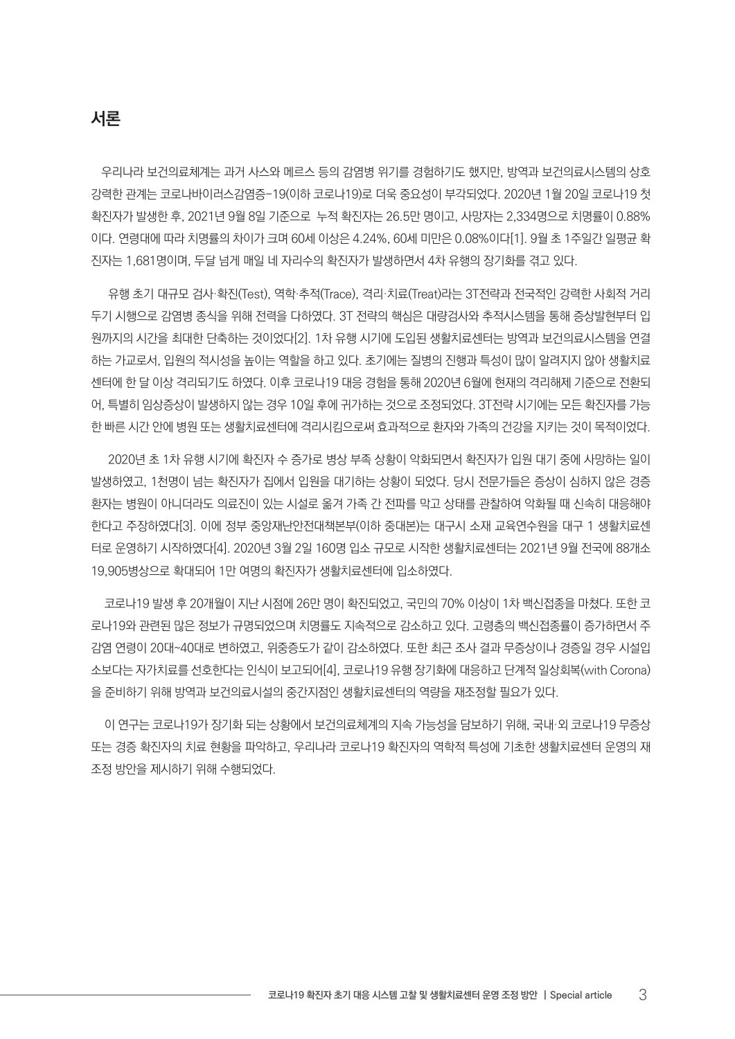# 서론

우리나라 보건의료체계는 과거 사스와 메르스 등의 감염병 위기를 경험하기도 했지만, 방역과 보건의료시스템의 상호 강력한 관계는 코로나바이러스감염증-19(이하 코로나19)로 더욱 중요성이 부각되었다. 2020년 1월 20일 코로나19 첫 확진자가 발생한 후, 2021년 9월 8일 기준으로 누적 확진자는 26.5만 명이고, 사망자는 2,334명으로 치명률이 0.88% 이다. 연령대에 따라 치명률의 차이가 크며 60세 이상은 4.24%, 60세 미만은 0.08%이다[1]. 9월 초 1주일간 일평균 확 진자는 1,681명이며, 두달 넘게 매일 네 자리수의 확진자가 발생하면서 4차 유행의 장기화를 겪고 있다.

 유행 초기 대규모 검사·확진(Test), 역학·추적(Trace), 격리·치료(Treat)라는 3T전략과 전국적인 강력한 사회적 거리 두기 시행으로 감염병 종식을 위해 전력을 다하였다. 3T 전략의 핵심은 대량검사와 추적시스템을 통해 증상발현부터 입 원까지의 시간을 최대한 단축하는 것이었다[2]. 1차 유행 시기에 도입된 생활치료센터는 방역과 보건의료시스템을 연결 하는 가교로서, 입원의 적시성을 높이는 역할을 하고 있다. 초기에는 질병의 진행과 특성이 많이 알려지지 않아 생활치료 센터에 한 달 이상 격리되기도 하였다. 이후 코로나19 대응 경험을 통해 2020년 6월에 현재의 격리해제 기준으로 전환되 어, 특별히 임상증상이 발생하지 않는 경우 10일 후에 귀가하는 것으로 조정되었다. 3T전략 시기에는 모든 확진자를 가능 한 빠른 시간 안에 병원 또는 생활치료센터에 격리시킴으로써 효과적으로 환자와 가족의 건강을 지키는 것이 목적이었다.

 2020년 초 1차 유행 시기에 확진자 수 증가로 병상 부족 상황이 악화되면서 확진자가 입원 대기 중에 사망하는 일이 발생하였고, 1천명이 넘는 확진자가 집에서 입원을 대기하는 상황이 되었다. 당시 전문가들은 증상이 심하지 않은 경증 환자는 병원이 아니더라도 의료진이 있는 시설로 옮겨 가족 간 전파를 막고 상태를 관찰하여 악화될 때 신속히 대응해야 한다고 주장하였다[3]. 이에 정부 중앙재난안전대책본부(이하 중대본)는 대구시 소재 교육연수원을 대구 1 생활치료센 터로 운영하기 시작하였다[4]. 2020년 3월 2일 160명 입소 규모로 시작한 생활치료센터는 2021년 9월 전국에 88개소 19,905병상으로 확대되어 1만 여명의 확진자가 생활치료센터에 입소하였다.

 코로나19 발생 후 20개월이 지난 시점에 26만 명이 확진되었고, 국민의 70% 이상이 1차 백신접종을 마쳤다. 또한 코 로나19와 관련된 많은 정보가 규명되었으며 치명률도 지속적으로 감소하고 있다. 고령층의 백신접종률이 증가하면서 주 감염 연령이 20대~40대로 변하였고, 위중증도가 같이 감소하였다. 또한 최근 조사 결과 무증상이나 경증일 경우 시설입 소보다는 자가치료를 선호한다는 인식이 보고되어[4], 코로나19 유행 장기화에 대응하고 단계적 일상회복(with Corona) 을 준비하기 위해 방역과 보건의료시설의 중간지점인 생활치료센터의 역량을 재조정할 필요가 있다.

 이 연구는 코로나19가 장기화 되는 상황에서 보건의료체계의 지속 가능성을 담보하기 위해, 국내·외 코로나19 무증상 또는 경증 확진자의 치료 현황을 파악하고, 우리나라 코로나19 확진자의 역학적 특성에 기초한 생활치료센터 운영의 재 조정 방안을 제시하기 위해 수행되었다.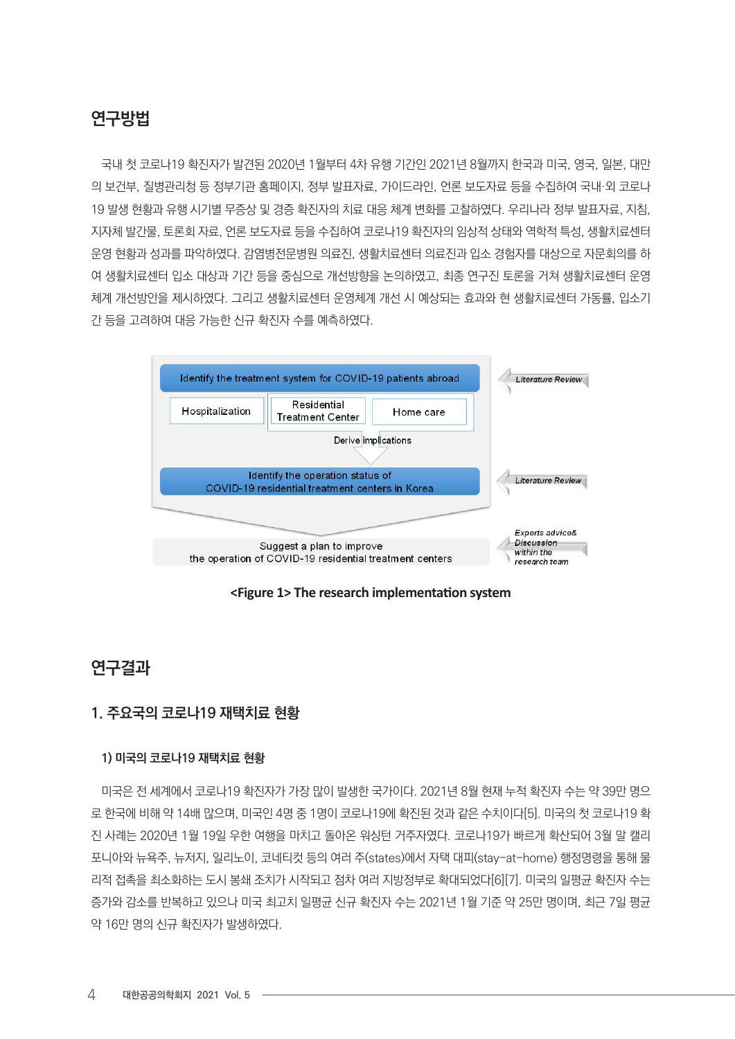# 연구방법

국내 첫 코로나19 확진자가 발견된 2020년 1월부터 4차 유행 기간인 2021년 8월까지 한국과 미국, 영국, 일본, 대만 의 보건부, 질병관리청 등 정부기관 홈페이지, 정부 발표자료, 가이드라인, 언론 보도자료 등을 수집하여 국내·외 코로나 19 발생 현황과 유행 시기별 무증상 및 경증 확진자의 치료 대응 체계 변화를 고찰하였다. 우리나라 정부 발표자료, 지침, 지자체 발간물, 토론회 자료, 언론 보도자료 등을 수집하여 코로나19 확진자의 임상적 상태와 역학적 특성, 생활치료센터 운영 현황과 성과를 파악하였다. 감염병전문병원 의료진, 생활치료센터 의료진과 입소 경험자를 대상으로 자문회의를 하 여 생활치료센터 입소 대상과 기간 등을 중심으로 개선방향을 논의하였고, 최종 연구진 토론을 거쳐 생활치료센터 운영 체계 개선방안을 제시하였다. 그리고 생활치료센터 운영체계 개선 시 예상되는 효과와 현 생활치료센터 가동률, 입소기 간 등을 고려하여 대응 가능한 신규 확진자 수를 예측하였다.



**<Figure 1> The research implementation system**

# 연구결과

# 1. 주요국의 코로나19 재택치료 현황

# 1) 미국의 코로나19 재택치료 현황

미국은 전 세계에서 코로나19 확진자가 가장 많이 발생한 국가이다. 2021년 8월 현재 누적 확진자 수는 약 39만 명으 로 한국에 비해 약 14배 많으며, 미국인 4명 중 1명이 코로나19에 확진된 것과 같은 수치이다[5]. 미국의 첫 코로나19 확 진 사례는 2020년 1월 19일 우한 여행을 마치고 돌아온 워싱턴 거주자였다. 코로나19가 빠르게 확산되어 3월 말 캘리 포니아와 뉴욕주, 뉴저지, 일리노이, 코네티컷 등의 여러 주(states)에서 자택 대피(stay-at-home) 행정명령을 통해 물 리적 접촉을 최소화하는 도시 봉쇄 조치가 시작되고 점차 여러 지방정부로 확대되었다[6][7]. 미국의 일평균 확진자 수는 증가와 감소를 반복하고 있으나 미국 최고치 일평균 신규 확진자 수는 2021년 1월 기준 약 25만 명이며, 최근 7일 평균 약 16만 명의 신규 확진자가 발생하였다.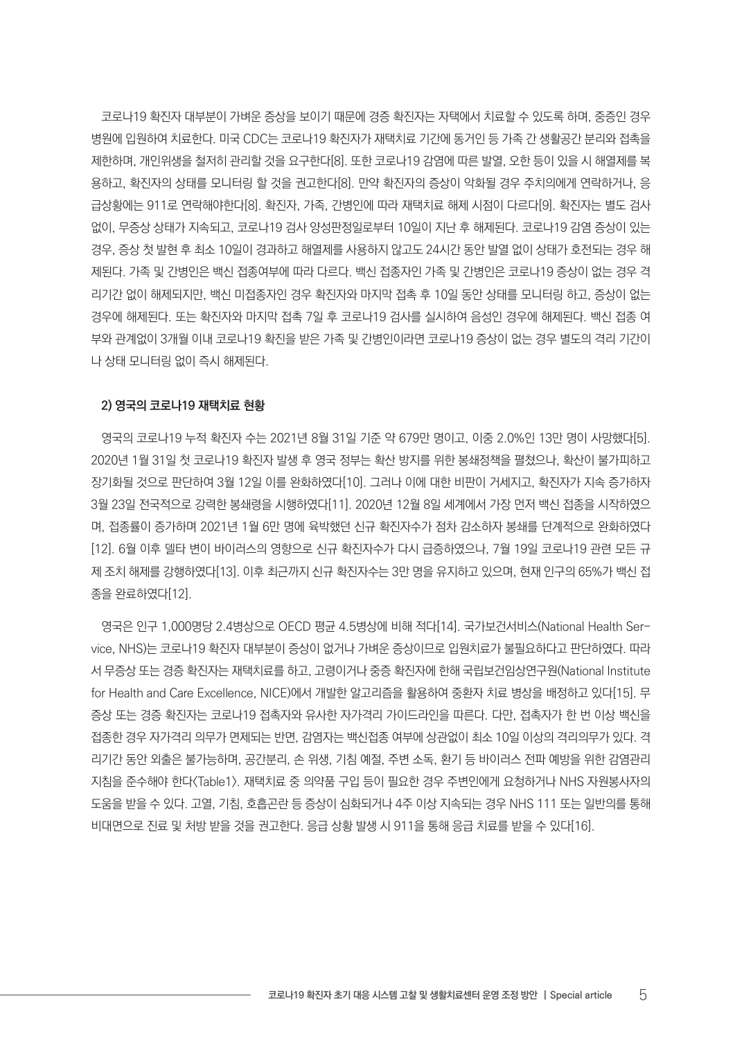코로나19 확진자 대부분이 가벼운 증상을 보이기 때문에 경증 확진자는 자택에서 치료할 수 있도록 하며, 중증인 경우 병원에 입원하여 치료한다. 미국 CDC는 코로나19 확진자가 재택치료 기간에 동거인 등 가족 간 생활공간 분리와 접촉을 제한하며, 개인위생을 철저히 관리할 것을 요구한다[8]. 또한 코로나19 감염에 따른 발열, 오한 등이 있을 시 해열제를 복 용하고, 확진자의 상태를 모니터링 할 것을 권고한다[8]. 만약 확진자의 증상이 악화될 경우 주치의에게 연락하거나, 응 급상황에는 911로 연락해야한다[8]. 확진자, 가족, 간병인에 따라 재택치료 해제 시점이 다르다[9]. 확진자는 별도 검사 없이, 무증상 상태가 지속되고, 코로나19 검사 양성판정일로부터 10일이 지난 후 해제된다. 코로나19 감염 증상이 있는 경우, 증상 첫 발현 후 최소 10일이 경과하고 해열제를 사용하지 않고도 24시간 동안 발열 없이 상태가 호전되는 경우 해 제된다. 가족 및 간병인은 백신 접종여부에 따라 다르다. 백신 접종자인 가족 및 간병인은 코로나19 증상이 없는 경우 격 리기간 없이 해제되지만, 백신 미접종자인 경우 확진자와 마지막 접촉 후 10일 동안 상태를 모니터링 하고, 증상이 없는 경우에 해제된다. 또는 확진자와 마지막 접촉 7일 후 코로나19 검사를 실시하여 음성인 경우에 해제된다. 백신 접종 여 부와 관계없이 3개월 이내 코로나19 확진을 받은 가족 및 간병인이라면 코로나19 증상이 없는 경우 별도의 격리 기간이 나 상태 모니터링 없이 즉시 해제된다.

#### 2) 영국의 코로나19 재택치료 현황

영국의 코로나19 누적 확진자 수는 2021년 8월 31일 기준 약 679만 명이고, 이중 2.0%인 13만 명이 사망했다[5]. 2020년 1월 31일 첫 코로나19 확진자 발생 후 영국 정부는 확산 방지를 위한 봉쇄정책을 펼쳤으나, 확산이 불가피하고 장기화될 것으로 판단하여 3월 12일 이를 완화하였다[10]. 그러나 이에 대한 비판이 거세지고, 확진자가 지속 증가하자 3월 23일 전국적으로 강력한 봉쇄령을 시행하였다[11]. 2020년 12월 8일 세계에서 가장 먼저 백신 접종을 시작하였으 며, 접종률이 증가하며 2021년 1월 6만 명에 육박했던 신규 확진자수가 점차 감소하자 봉쇄를 단계적으로 완화하였다 [12]. 6월 이후 델타 변이 바이러스의 영향으로 신규 확진자수가 다시 급증하였으나, 7월 19일 코로나19 관련 모든 규 제 조치 해제를 강행하였다[13]. 이후 최근까지 신규 확진자수는 3만 명을 유지하고 있으며, 현재 인구의 65%가 백신 접 종을 완료하였다[12].

영국은 인구 1,000명당 2.4병상으로 OECD 평균 4.5병상에 비해 적다[14]. 국가보건서비스(National Health Service, NHS)는 코로나19 확진자 대부분이 증상이 없거나 가벼운 증상이므로 입원치료가 불필요하다고 판단하였다. 따라 서 무증상 또는 경증 확진자는 재택치료를 하고, 고령이거나 중증 확진자에 한해 국립보건임상연구원(National Institute for Health and Care Excellence, NICE)에서 개발한 알고리즘을 활용하여 중환자 치료 병상을 배정하고 있다[15]. 무 증상 또는 경증 확진자는 코로나19 접촉자와 유사한 자가격리 가이드라인을 따른다. 다만, 접촉자가 한 번 이상 백신을 접종한 경우 자가격리 의무가 면제되는 반면, 감염자는 백신접종 여부에 상관없이 최소 10일 이상의 격리의무가 있다. 격 리기간 동안 외출은 불가능하며, 공간분리, 손 위생, 기침 예절, 주변 소독, 환기 등 바이러스 전파 예방을 위한 감염관리 지침을 준수해야 한다<Table1>. 재택치료 중 의약품 구입 등이 필요한 경우 주변인에게 요청하거나 NHS 자원봉사자의 도움을 받을 수 있다. 고열, 기침, 호흡곤란 등 증상이 심화되거나 4주 이상 지속되는 경우 NHS 111 또는 일반의를 통해 비대면으로 진료 및 처방 받을 것을 권고한다. 응급 상황 발생 시 911을 통해 응급 치료를 받을 수 있다[16].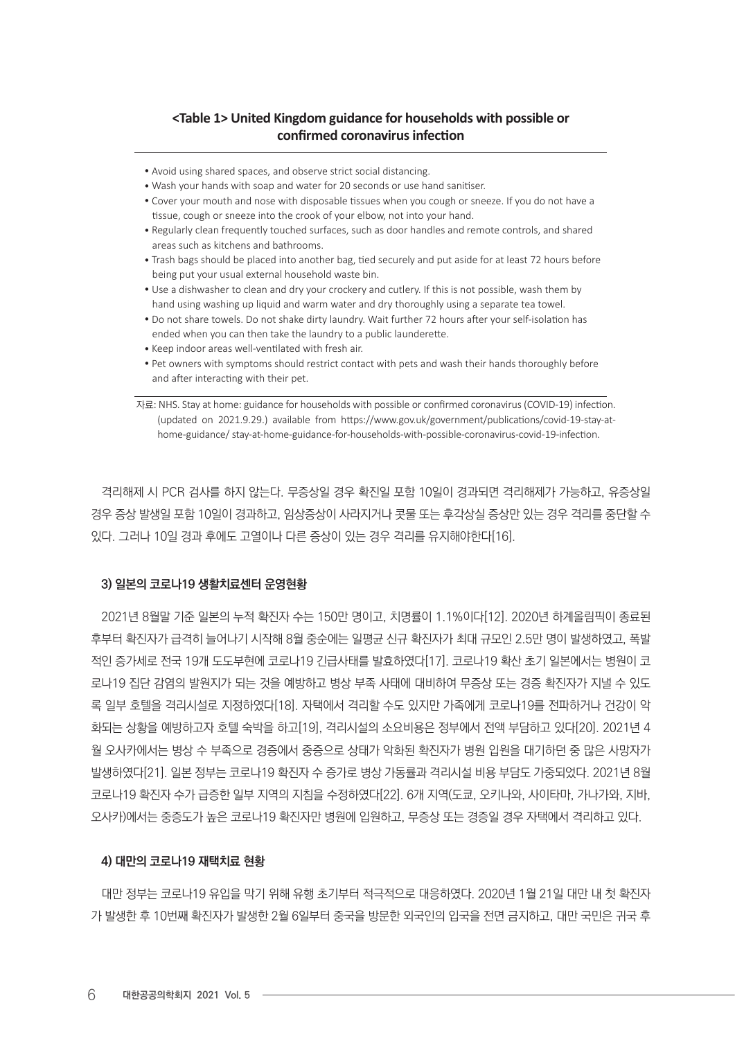# **<Table 1> United Kingdom guidance for households with possible or confirmed coronavirus infection**

- Avoid using shared spaces, and observe strict social distancing.
- Wash your hands with soap and water for 20 seconds or use hand sanitiser.
- Cover your mouth and nose with disposable tissues when you cough or sneeze. If you do not have a tissue, cough or sneeze into the crook of your elbow, not into your hand.
- Regularly clean frequently touched surfaces, such as door handles and remote controls, and shared areas such as kitchens and bathrooms.
- Trash bags should be placed into another bag, tied securely and put aside for at least 72 hours before being put your usual external household waste bin.
- Use a dishwasher to clean and dry your crockery and cutlery. If this is not possible, wash them by hand using washing up liquid and warm water and dry thoroughly using a separate tea towel.
- Do not share towels. Do not shake dirty laundry. Wait further 72 hours after your self-isolation has ended when you can then take the laundry to a public launderette.
- Keep indoor areas well-ventilated with fresh air.
- Pet owners with symptoms should restrict contact with pets and wash their hands thoroughly before and after interacting with their pet.

자료: NHS. Stay at home: guidance for households with possible or confirmed coronavirus (COVID-19) infection. (updated on 2021.9.29.) available from https://www.gov.uk/government/publications/covid-19-stay-athome-guidance/ stay-at-home-guidance-for-households-with-possible-coronavirus-covid-19-infection.

격리해제 시 PCR 검사를 하지 않는다. 무증상일 경우 확진일 포함 10일이 경과되면 격리해제가 가능하고, 유증상일 경우 증상 발생일 포함 10일이 경과하고, 임상증상이 사라지거나 콧물 또는 후각상실 증상만 있는 경우 격리를 중단할 수 있다. 그러나 10일 경과 후에도 고열이나 다른 증상이 있는 경우 격리를 유지해야한다[16].

# 3) 일본의 코로나19 생활치료센터 운영현황

2021년 8월말 기준 일본의 누적 확진자 수는 150만 명이고, 치명률이 1.1%이다[12]. 2020년 하계올림픽이 종료된 후부터 확진자가 급격히 늘어나기 시작해 8월 중순에는 일평균 신규 확진자가 최대 규모인 2.5만 명이 발생하였고, 폭발 적인 증가세로 전국 19개 도도부현에 코로나19 긴급사태를 발효하였다[17]. 코로나19 확산 초기 일본에서는 병원이 코 로나19 집단 감염의 발원지가 되는 것을 예방하고 병상 부족 사태에 대비하여 무증상 또는 경증 확진자가 지낼 수 있도 록 일부 호텔을 격리시설로 지정하였다[18]. 자택에서 격리할 수도 있지만 가족에게 코로나19를 전파하거나 건강이 악 화되는 상황을 예방하고자 호텔 숙박을 하고[19], 격리시설의 소요비용은 정부에서 전액 부담하고 있다[20], 2021년 4 월 오사카에서는 병상 수 부족으로 경증에서 중증으로 상태가 악화된 확진자가 병원 입원을 대기하던 중 많은 사망자가 발생하였다[21]. 일본 정부는 코로나19 확진자 수 증가로 병상 가동률과 격리시설 비용 부담도 가중되었다. 2021년 8월 코로나19 확진자 수가 급증한 일부 지역의 지침을 수정하였다[22]. 6개 지역(도쿄, 오키나와, 사이타마, 가나가와, 지바, 오사카)에서는 중증도가 높은 코로나19 확진자만 병원에 입원하고, 무증상 또는 경증일 경우 자택에서 격리하고 있다.

#### 4) 대만의 코로나19 재택치료 현황

대만 정부는 코로나19 유입을 막기 위해 유행 초기부터 적극적으로 대응하였다. 2020년 1월 21일 대만 내 첫 확진자 가 발생한 후 10번째 확진자가 발생한 2월 6일부터 중국을 방문한 외국인의 입국을 전면 금지하고, 대만 국민은 귀국 후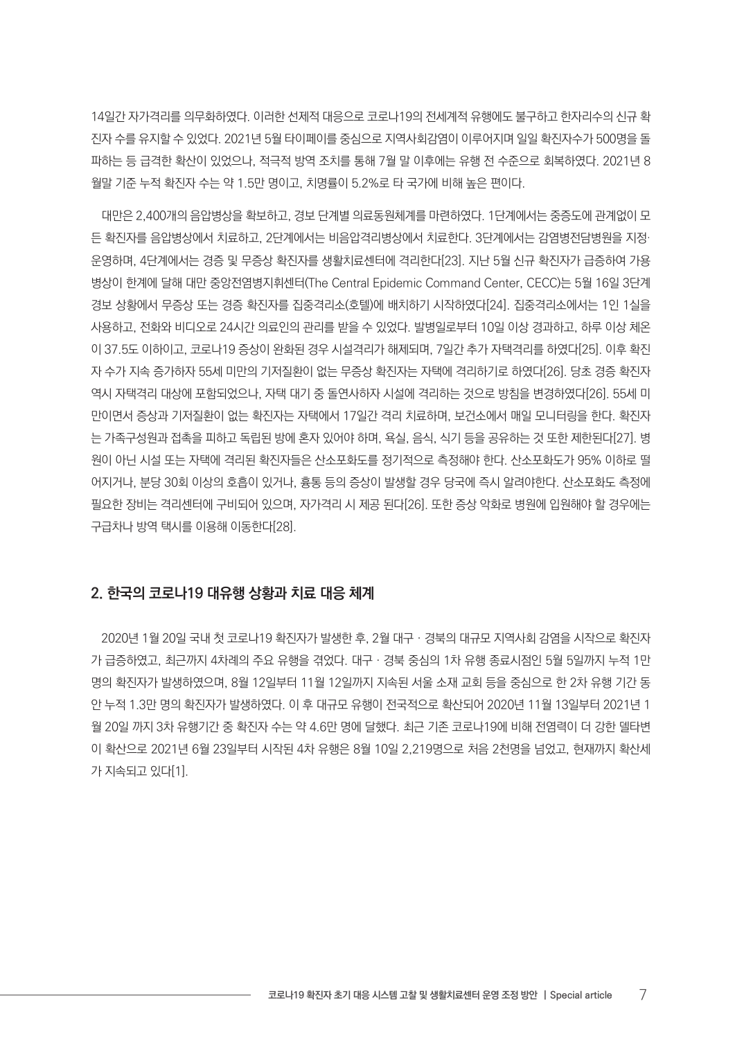14일간 자가격리를 의무화하였다. 이러한 선제적 대응으로 코로나19의 전세계적 유행에도 불구하고 한자리수의 신규 확 진자 수를 유지할 수 있었다. 2021년 5월 타이페이를 중심으로 지역사회감염이 이루어지며 일일 확진자수가 500명을 돌 파하는 등 급격한 확산이 있었으나, 적극적 방역 조치를 통해 7월 말 이후에는 유행 전 수준으로 회복하였다. 2021년 8 월말 기준 누적 확진자 수는 약 1.5만 명이고, 치명률이 5.2%로 타 국가에 비해 높은 편이다.

대만은 2,400개의 음압병상을 확보하고, 경보 단계별 의료동원체계를 마련하였다. 1단계에서는 중증도에 관계없이 모 든 확진자를 음압병상에서 치료하고, 2단계에서는 비음압격리병상에서 치료한다. 3단계에서는 감염병전담병원을 지정· 운영하며, 4단계에서는 경증 및 무증상 확진자를 생활치료센터에 격리한다[23]. 지난 5월 신규 확진자가 급증하여 가용 병상이 한계에 달해 대만 중앙전염병지휘센터(The Central Epidemic Command Center, CECC)는 5월 16일 3단계 경보 상황에서 무증상 또는 경증 확진자를 집중격리소(호텔)에 배치하기 시작하였다[24]. 집중격리소에서는 1인 1실을 사용하고, 전화와 비디오로 24시간 의료인의 관리를 받을 수 있었다. 발병일로부터 10일 이상 경과하고, 하루 이상 체온 이 37.5도 이하이고, 코로나19 증상이 완화된 경우 시설격리가 해제되며, 7일간 추가 자택격리를 하였다[25]. 이후 확진 자 수가 지속 증가하자 55세 미만의 기저질환이 없는 무증상 확진자는 자택에 격리하기로 하였다[26]. 당초 경증 확진자 역시 자택격리 대상에 포함되었으나, 자택 대기 중 돌연사하자 시설에 격리하는 것으로 방침을 변경하였다[26]. 55세 미 만이면서 증상과 기저질환이 없는 확진자는 자택에서 17일간 격리 치료하며, 보건소에서 매일 모니터링을 한다. 확진자 는 가족구성원과 접촉을 피하고 독립된 방에 혼자 있어야 하며, 욕실, 음식, 식기 등을 공유하는 것 또한 제한된다[27]. 병 원이 아닌 시설 또는 자택에 격리된 확진자들은 산소포화도를 정기적으로 측정해야 한다. 산소포화도가 95% 이하로 떨 어지거나, 분당 30회 이상의 호흡이 있거나, 흉통 등의 증상이 발생할 경우 당국에 즉시 알려야한다. 산소포화도 측정에 필요한 장비는 격리센터에 구비되어 있으며, 자가격리 시 제공 된다[26]. 또한 증상 악화로 병원에 입원해야 할 경우에는 구급차나 방역 택시를 이용해 이동한다[28].

# 2. 한국의 코로나19 대유행 상황과 치료 대응 체계

2020년 1월 20일 국내 첫 코로나19 확진자가 발생한 후, 2월 대구‧경북의 대규모 지역사회 감염을 시작으로 확진자 가 급증하였고, 최근까지 4차례의 주요 유행을 겪었다. 대구‧경북 중심의 1차 유행 종료시점인 5월 5일까지 누적 1만 명의 확진자가 발생하였으며, 8월 12일부터 11월 12일까지 지속된 서울 소재 교회 등을 중심으로 한 2차 유행 기간 동 안 누적 1.3만 명의 확진자가 발생하였다. 이 후 대규모 유행이 전국적으로 확산되어 2020년 11월 13일부터 2021년 1 월 20일 까지 3차 유행기간 중 확진자 수는 약 4.6만 명에 달했다. 최근 기존 코로나19에 비해 전염력이 더 강한 델타변 이 확산으로 2021년 6월 23일부터 시작된 4차 유행은 8월 10일 2,219명으로 처음 2천명을 넘었고, 현재까지 확산세 가 지속되고 있다[1].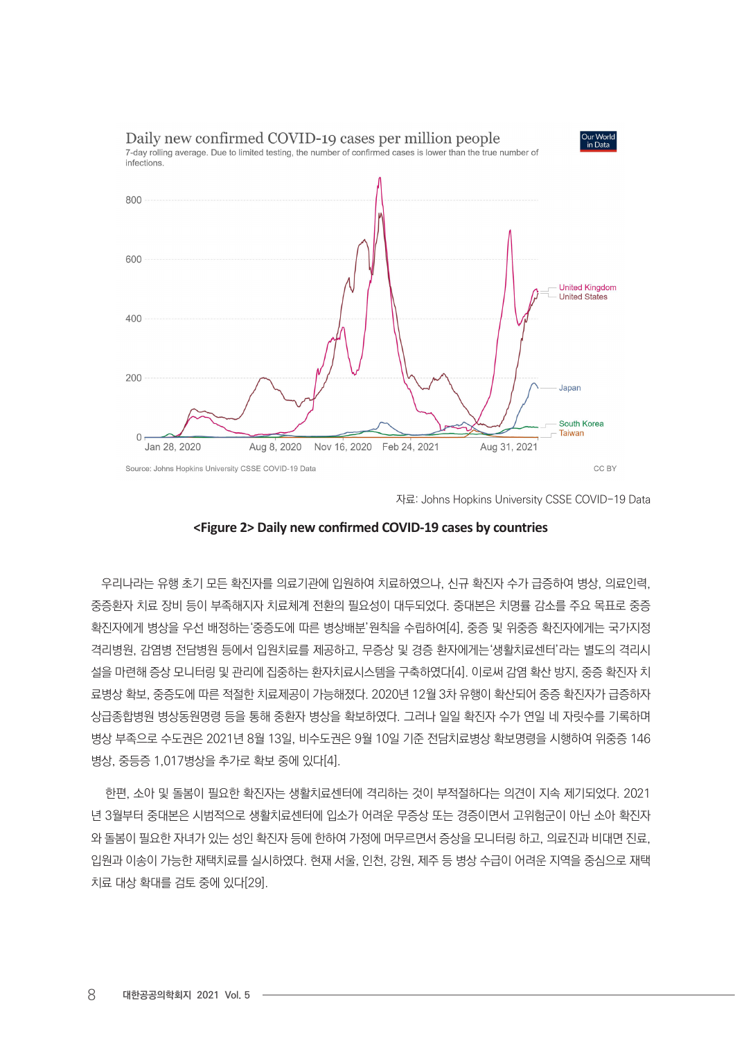

자료: Johns Hopkins University CSSE COVID-19 Data



우리나라는 유행 초기 모든 확진자를 의료기관에 입원하여 치료하였으나, 신규 확진자 수가 급증하여 병상, 의료인력, 중증환자 치료 장비 등이 부족해지자 치료체계 전환의 필요성이 대두되었다. 중대본은 치명률 감소를 주요 목표로 중증 확진자에게 병상을 우선 배정하는'중증도에 따른 병상배분'원칙을 수립하여[4], 중증 및 위중증 확진자에게는 국가지정 격리병원, 감염병 전담병원 등에서 입원치료를 제공하고, 무증상 및 경증 환자에게는'생활치료센터'라는 별도의 격리시 설을 마련해 증상 모니터링 및 관리에 집중하는 환자치료시스템을 구축하였다[4]. 이로써 감염 확산 방지, 중증 확진자 치 료병상 확보, 중증도에 따른 적절한 치료제공이 가능해졌다. 2020년 12월 3차 유행이 확산되어 중증 확진자가 급증하자 상급종합병원 병상동원명령 등을 통해 중환자 병상을 확보하였다. 그러나 일일 확진자 수가 연일 네 자릿수를 기록하며 병상 부족으로 수도권은 2021년 8월 13일, 비수도권은 9월 10일 기준 전담치료병상 확보명령을 시행하여 위중증 146 병상, 중등증 1,017병상을 추가로 확보 중에 있다[4].

 한편, 소아 및 돌봄이 필요한 확진자는 생활치료센터에 격리하는 것이 부적절하다는 의견이 지속 제기되었다. 2021 년 3월부터 중대본은 시범적으로 생활치료센터에 입소가 어려운 무증상 또는 경증이면서 고위험군이 아닌 소아 확진자 와 돌봄이 필요한 자녀가 있는 성인 확진자 등에 한하여 가정에 머무르면서 증상을 모니터링 하고, 의료진과 비대면 진료, 입원과 이송이 가능한 재택치료를 실시하였다. 현재 서울, 인천, 강원, 제주 등 병상 수급이 어려운 지역을 중심으로 재택 치료 대상 확대를 검토 중에 있다[29].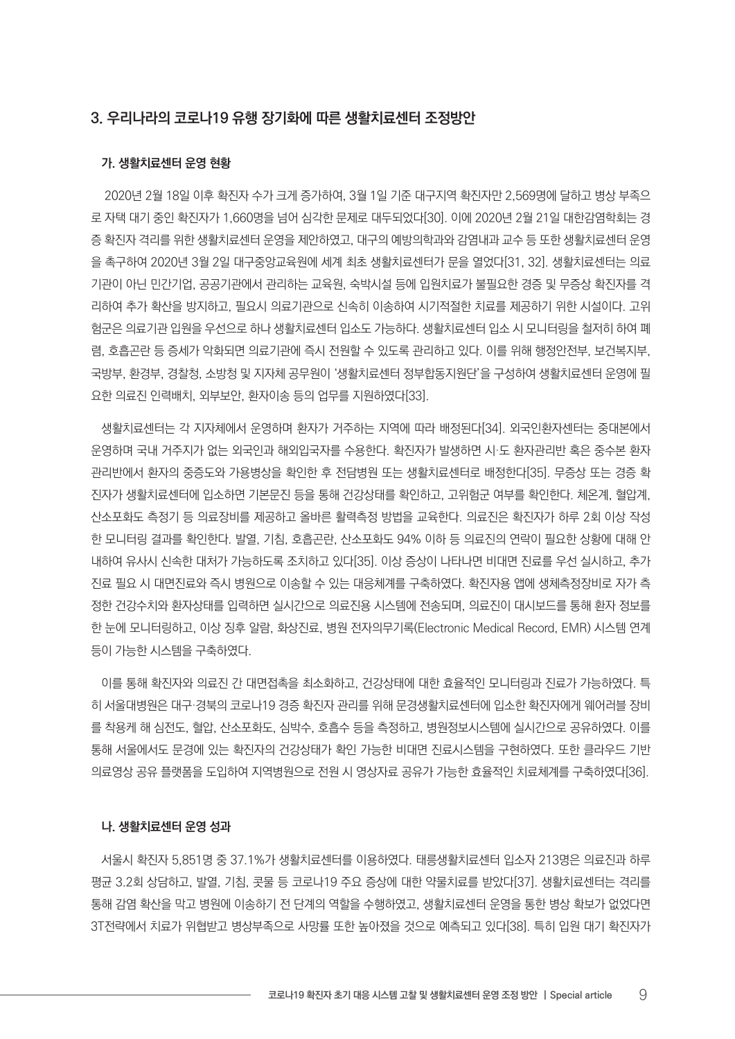# 3. 우리나라의 코로나19 유행 장기화에 따른 생활치료센터 조정방안

#### 가. 생활치료센터 운영 현황

 2020년 2월 18일 이후 확진자 수가 크게 증가하여, 3월 1일 기준 대구지역 확진자만 2,569명에 달하고 병상 부족으 로 자택 대기 중인 확진자가 1,660명을 넘어 심각한 문제로 대두되었다[30]. 이에 2020년 2월 21일 대한감염학회는 경 증 확진자 격리를 위한 생활치료센터 운영을 제안하였고, 대구의 예방의학과와 감염내과 교수 등 또한 생활치료센터 운영 을 촉구하여 2020년 3월 2일 대구중앙교육원에 세계 최초 생활치료센터가 문을 열었다[31, 32]. 생활치료센터는 의료 기관이 아닌 민간기업, 공공기관에서 관리하는 교육원, 숙박시설 등에 입원치료가 불필요한 경증 및 무증상 확진자를 격 리하여 추가 확산을 방지하고, 필요시 의료기관으로 신속히 이송하여 시기적절한 치료를 제공하기 위한 시설이다. 고위 험군은 의료기관 입원을 우선으로 하나 생활치료센터 입소도 가능하다. 생활치료센터 입소 시 모니터링을 철저히 하여 폐 렴, 호흡곤란 등 증세가 악화되면 의료기관에 즉시 전원할 수 있도록 관리하고 있다. 이를 위해 행정안전부, 보건복지부, 국방부, 환경부, 경찰청, 소방청 및 지자체 공무원이 '생활치료센터 정부합동지원단'을 구성하여 생활치료센터 운영에 필 요한 의료진 인력배치, 외부보안, 환자이송 등의 업무를 지원하였다[33].

생활치료센터는 각 지자체에서 운영하며 환자가 거주하는 지역에 따라 배정된다[34]. 외국인환자센터는 중대본에서 운영하며 국내 거주지가 없는 외국인과 해외입국자를 수용한다. 확진자가 발생하면 시·도 환자관리반 혹은 중수본 환자 관리반에서 환자의 중증도와 가용병상을 확인한 후 전담병원 또는 생활치료센터로 배정한다[35]. 무증상 또는 경증 확 진자가 생활치료센터에 입소하면 기본문진 등을 통해 건강상태를 확인하고, 고위험군 여부를 확인한다. 체온계, 혈압계, 산소포화도 측정기 등 의료장비를 제공하고 올바른 활력측정 방법을 교육한다. 의료진은 확진자가 하루 2회 이상 작성 한 모니터링 결과를 확인한다. 발열, 기침, 호흡곤란, 산소포화도 94% 이하 등 의료진의 연락이 필요한 상황에 대해 안 내하여 유사시 신속한 대처가 가능하도록 조치하고 있다[35]. 이상 증상이 나타나면 비대면 진료를 우선 실시하고, 추가 진료 필요 시 대면진료와 즉시 병원으로 이송할 수 있는 대응체계를 구축하였다. 확진자용 앱에 생체측정장비로 자가 측 정한 건강수치와 환자상태를 입력하면 실시간으로 의료진용 시스템에 전송되며, 의료진이 대시보드를 통해 환자 정보를 한 눈에 모니터링하고, 이상 징후 알람, 화상진료, 병원 전자의무기록(Electronic Medical Record, EMR) 시스템 연계 등이 가능한 시스템을 구축하였다.

이를 통해 확진자와 의료진 간 대면접촉을 최소화하고, 건강상태에 대한 효율적인 모니터링과 진료가 가능하였다. 특 히 서울대병원은 대구·경북의 코로나19 경증 확진자 관리를 위해 문경생활치료센터에 입소한 확진자에게 웨어러블 장비 를 착용케 해 심전도, 혈압, 산소포화도, 심박수, 호흡수 등을 측정하고, 병원정보시스템에 실시간으로 공유하였다. 이를 통해 서울에서도 문경에 있는 확진자의 건강상태가 확인 가능한 비대면 진료시스템을 구현하였다. 또한 클라우드 기반 의료영상 공유 플랫폼을 도입하여 지역병원으로 전원 시 영상자료 공유가 가능한 효율적인 치료체계를 구축하였다[36].

#### 나. 생활치료센터 운영 성과

서울시 확진자 5,851명 중 37.1%가 생활치료센터를 이용하였다. 태릉생활치료센터 입소자 213명은 의료진과 하루 평균 3.2회 상담하고, 발열, 기침, 콧물 등 코로나19 주요 증상에 대한 약물치료를 받았다[37]. 생활치료센터는 격리를 통해 감염 확산을 막고 병원에 이송하기 전 단계의 역할을 수행하였고, 생활치료센터 운영을 통한 병상 확보가 없었다면 3T전략에서 치료가 위협받고 병상부족으로 사망률 또한 높아졌을 것으로 예측되고 있다[38]. 특히 입원 대기 확진자가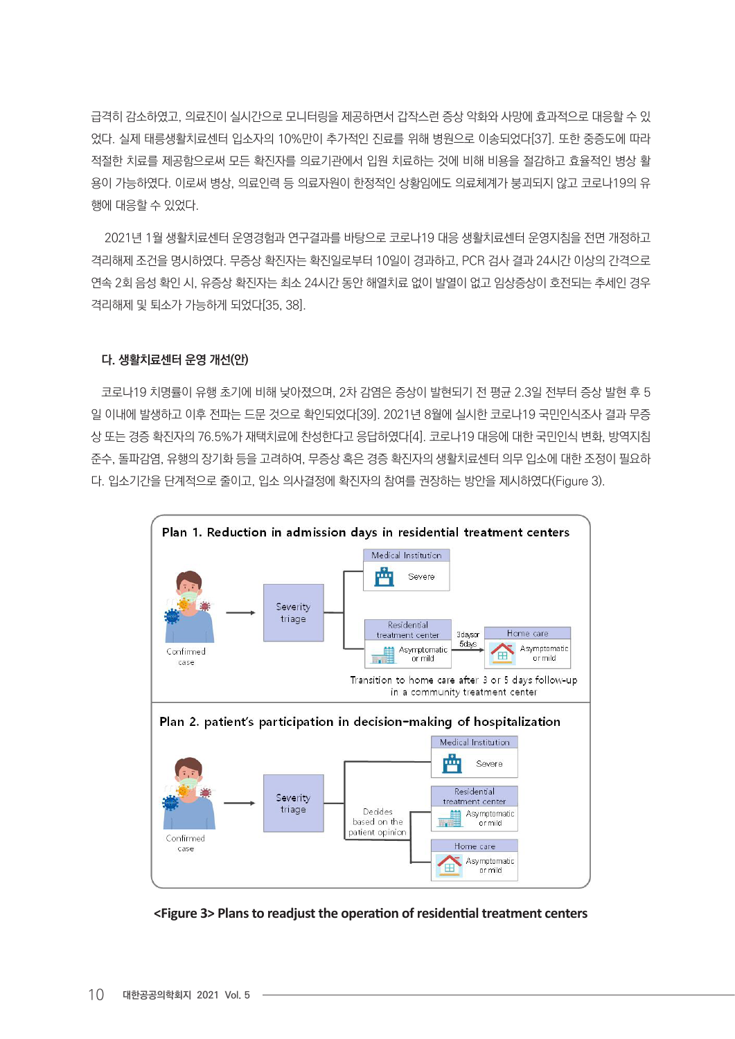급격히 감소하였고, 의료진이 실시간으로 모니터링을 제공하면서 갑작스런 증상 악화와 사망에 효과적으로 대응할 수 있 었다. 실제 태릉생활치료센터 입소자의 10%만이 추가적인 진료를 위해 병원으로 이송되었다[37]. 또한 중증도에 따라 적절한 치료를 제공함으로써 모든 확진자를 의료기관에서 입원 치료하는 것에 비해 비용을 절감하고 효율적인 병상 활 용이 가능하였다. 이로써 병상, 의료인력 등 의료자원이 한정적인 상황임에도 의료체계가 붕괴되지 않고 코로나19의 유 행에 대응할 수 있었다.

 2021년 1월 생활치료센터 운영경험과 연구결과를 바탕으로 코로나19 대응 생활치료센터 운영지침을 전면 개정하고 격리해제 조건을 명시하였다. 무증상 확진자는 확진일로부터 10일이 경과하고, PCR 검사 결과 24시간 이상의 간격으로 연속 2회 음성 확인 시, 유증상 확진자는 최소 24시간 동안 해열치료 없이 발열이 없고 임상증상이 호전되는 추세인 경우 격리해제 및 퇴소가 가능하게 되었다[35, 38].

# 다. 생활치료센터 운영 개선(안)

코로나19 치명률이 유행 초기에 비해 낮아졌으며, 2차 감염은 증상이 발현되기 전 평균 2.3일 전부터 증상 발현 후 5 일 이내에 발생하고 이후 전파는 드문 것으로 확인되었다[39]. 2021년 8월에 실시한 코로나19 국민인식조사 결과 무증 상 또는 경증 확진자의 76.5%가 재택치료에 찬성한다고 응답하였다[4]. 코로나19 대응에 대한 국민인식 변화, 방역지침 준수, 돌파감염, 유행의 장기화 등을 고려하여, 무증상 혹은 경증 확진자의 생활치료센터 의무 입소에 대한 조정이 필요하 다. 입소기간을 단계적으로 줄이고, 입소 의사결정에 확진자의 참여를 권장하는 방안을 제시하였다(Figure 3).



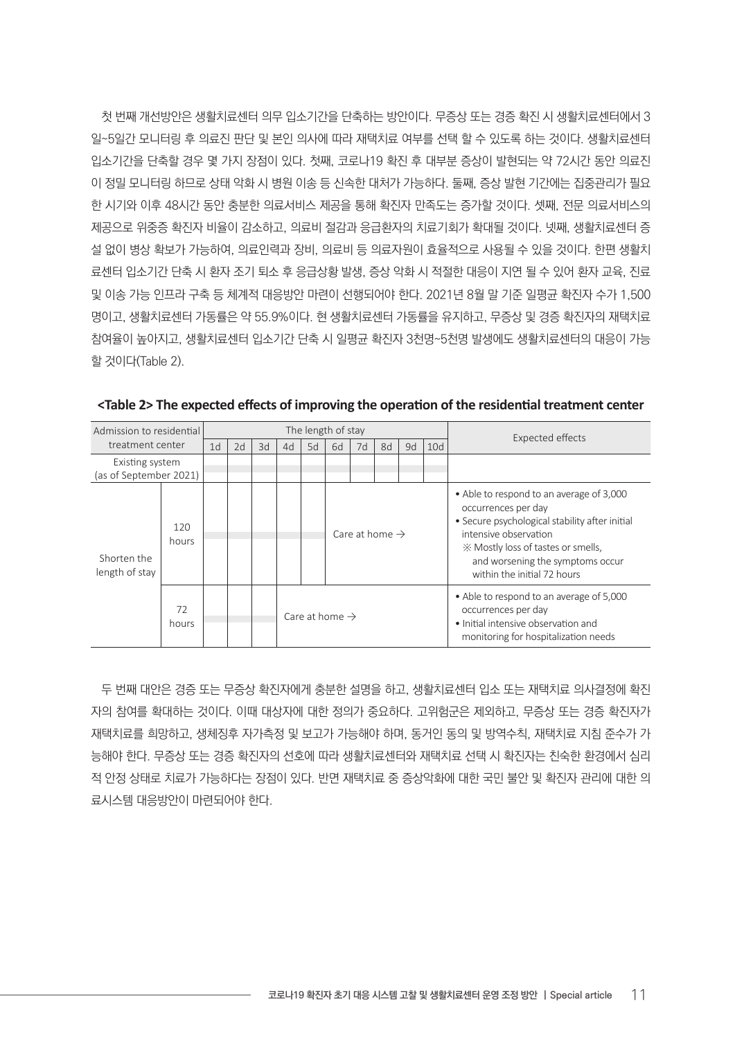첫 번째 개선방안은 생활치료센터 의무 입소기간을 단축하는 방안이다. 무증상 또는 경증 확진 시 생활치료센터에서 3 일~5일간 모니터링 후 의료진 판단 및 본인 의사에 따라 재택치료 여부를 선택 할 수 있도록 하는 것이다. 생활치료센터 입소기간을 단축할 경우 몇 가지 장점이 있다. 첫째, 코로나19 확진 후 대부분 증상이 발현되는 약 72시간 동안 의료진 이 정밀 모니터링 하므로 상태 악화 시 병원 이송 등 신속한 대처가 가능하다. 둘째, 증상 발현 기간에는 집중관리가 필요 한 시기와 이후 48시간 동안 충분한 의료서비스 제공을 통해 확진자 만족도는 증가할 것이다. 셋째, 전문 의료서비스의 제공으로 위중증 확진자 비율이 감소하고, 의료비 절감과 응급환자의 치료기회가 확대될 것이다. 넷째, 생활치료센터 증 설 없이 병상 확보가 가능하여, 의료인력과 장비, 의료비 등 의료자원이 효율적으로 사용될 수 있을 것이다. 한편 생활치 료센터 입소기간 단축 시 환자 조기 퇴소 후 응급상황 발생, 증상 악화 시 적절한 대응이 지연 될 수 있어 환자 교육, 진료 및 이송 가능 인프라 구축 등 체계적 대응방안 마련이 선행되어야 한다. 2021년 8월 말 기준 일평균 확진자 수가 1,500 명이고, 생활치료센터 가동률은 약 55.9%이다. 현 생활치료센터 가동률을 유지하고, 무증상 및 경증 확진자의 재택치료 참여율이 높아지고, 생활치료센터 입소기간 단축 시 일평균 확진자 3천명~5천명 발생에도 생활치료센터의 대응이 가능 할 것이다(Table 2).

| Admission to residential                  |              | The length of stay |    |    |                            |    |                            |    |    |    |     | <b>Expected effects</b>                                                                                                                                                                                                                             |
|-------------------------------------------|--------------|--------------------|----|----|----------------------------|----|----------------------------|----|----|----|-----|-----------------------------------------------------------------------------------------------------------------------------------------------------------------------------------------------------------------------------------------------------|
| treatment center                          |              | 1 <sub>d</sub>     | 2d | 3d | 4d                         | 5d | 6d                         | 7d | 8d | 9d | 10d |                                                                                                                                                                                                                                                     |
| Existing system<br>(as of September 2021) |              |                    |    |    |                            |    |                            |    |    |    |     |                                                                                                                                                                                                                                                     |
| Shorten the<br>length of stay             | 120<br>hours |                    |    |    |                            |    | Care at home $\rightarrow$ |    |    |    |     | • Able to respond to an average of 3,000<br>occurrences per day<br>• Secure psychological stability after initial<br>intensive observation<br>X Mostly loss of tastes or smells,<br>and worsening the symptoms occur<br>within the initial 72 hours |
|                                           | 72<br>hours  |                    |    |    | Care at home $\rightarrow$ |    |                            |    |    |    |     | • Able to respond to an average of 5,000<br>occurrences per day<br>. Initial intensive observation and<br>monitoring for hospitalization needs                                                                                                      |

**<Table 2> The expected effects of improving the operation of the residential treatment center**

두 번째 대안은 경증 또는 무증상 확진자에게 충분한 설명을 하고, 생활치료센터 입소 또는 재택치료 의사결정에 확진 자의 참여를 확대하는 것이다. 이때 대상자에 대한 정의가 중요하다. 고위험군은 제외하고, 무증상 또는 경증 확진자가 재택치료를 희망하고, 생체징후 자가측정 및 보고가 가능해야 하며, 동거인 동의 및 방역수칙, 재택치료 지침 준수가 가 능해야 한다. 무증상 또는 경증 확진자의 선호에 따라 생활치료센터와 재택치료 선택 시 확진자는 친숙한 환경에서 심리 적 안정 상태로 치료가 가능하다는 장점이 있다. 반면 재택치료 중 증상악화에 대한 국민 불안 및 확진자 관리에 대한 의 료시스템 대응방안이 마련되어야 한다.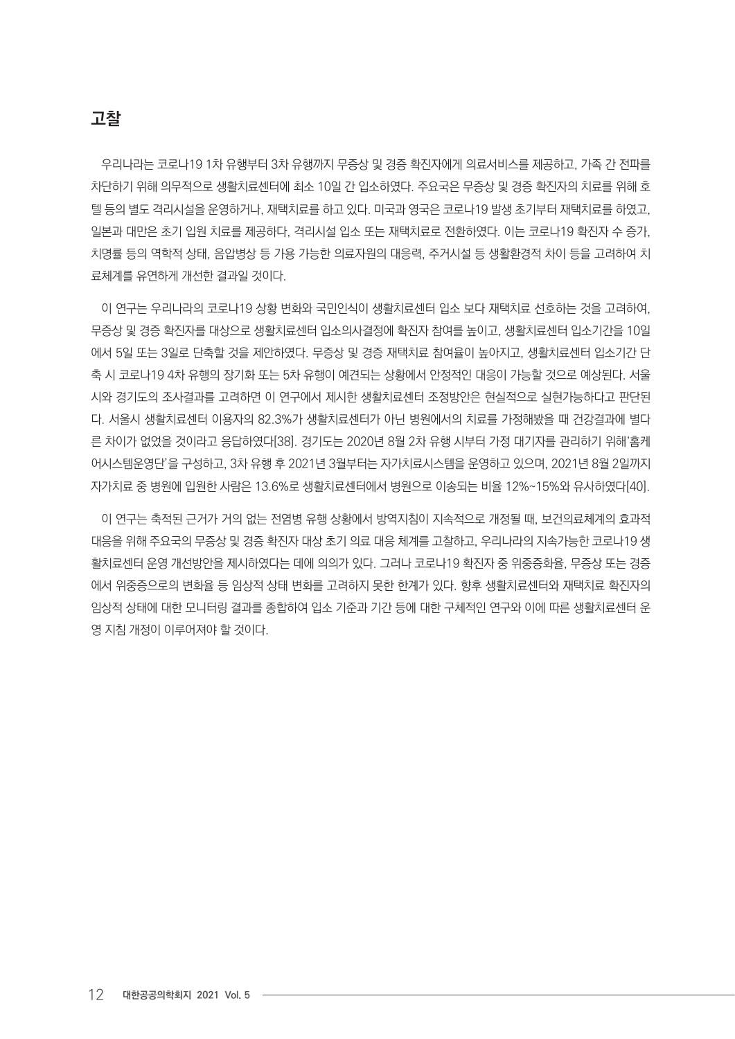# 고찰

우리나라는 코로나19 1차 유행부터 3차 유행까지 무증상 및 경증 확진자에게 의료서비스를 제공하고, 가족 간 전파를 차단하기 위해 의무적으로 생활치료센터에 최소 10일 간 입소하였다. 주요국은 무증상 및 경증 확진자의 치료를 위해 호 텔 등의 별도 격리시설을 운영하거나, 재택치료를 하고 있다. 미국과 영국은 코로나19 발생 초기부터 재택치료를 하였고, 일본과 대만은 초기 입원 치료를 제공하다, 격리시설 입소 또는 재택치료로 전환하였다. 이는 코로나19 확진자 수 증가, 치명률 등의 역학적 상태, 음압병상 등 가용 가능한 의료자원의 대응력, 주거시설 등 생활환경적 차이 등을 고려하여 치 료체계를 유연하게 개선한 결과일 것이다.

이 연구는 우리나라의 코로나19 상황 변화와 국민인식이 생활치료센터 입소 보다 재택치료 선호하는 것을 고려하여, 무증상 및 경증 확진자를 대상으로 생활치료센터 입소의사결정에 확진자 참여를 높이고, 생활치료센터 입소기간을 10일 에서 5일 또는 3일로 단축할 것을 제안하였다. 무증상 및 경증 재택치료 참여율이 높아지고, 생활치료센터 입소기간 단 축 시 코로나19 4차 유행의 장기화 또는 5차 유행이 예견되는 상황에서 안정적인 대응이 가능할 것으로 예상된다. 서울 시와 경기도의 조사결과를 고려하면 이 연구에서 제시한 생활치료센터 조정방안은 현실적으로 실현가능하다고 판단된 다. 서울시 생활치료센터 이용자의 82.3%가 생활치료센터가 아닌 병원에서의 치료를 가정해봤을 때 건강결과에 별다 른 차이가 없었을 것이라고 응답하였다[38]. 경기도는 2020년 8월 2차 유행 시부터 가정 대기자를 관리하기 위해'홈케 어시스템운영단'을 구성하고, 3차 유행 후 2021년 3월부터는 자가치료시스템을 운영하고 있으며, 2021년 8월 2일까지 자가치료 중 병원에 입원한 사람은 13.6%로 생활치료센터에서 병원으로 이송되는 비율 12%~15%와 유사하였다[40].

이 연구는 축적된 근거가 거의 없는 전염병 유행 상황에서 방역지침이 지속적으로 개정될 때, 보건의료체계의 효과적 대응을 위해 주요국의 무증상 및 경증 확진자 대상 초기 의료 대응 체계를 고찰하고, 우리나라의 지속가능한 코로나19 생 활치료센터 운영 개선방안을 제시하였다는 데에 의의가 있다. 그러나 코로나19 확진자 중 위중증화율, 무증상 또는 경증 에서 위중증으로의 변화율 등 임상적 상태 변화를 고려하지 못한 한계가 있다. 향후 생활치료센터와 재택치료 확진자의 임상적 상태에 대한 모니터링 결과를 종합하여 입소 기준과 기간 등에 대한 구체적인 연구와 이에 따른 생활치료센터 운 영 지침 개정이 이루어져야 할 것이다.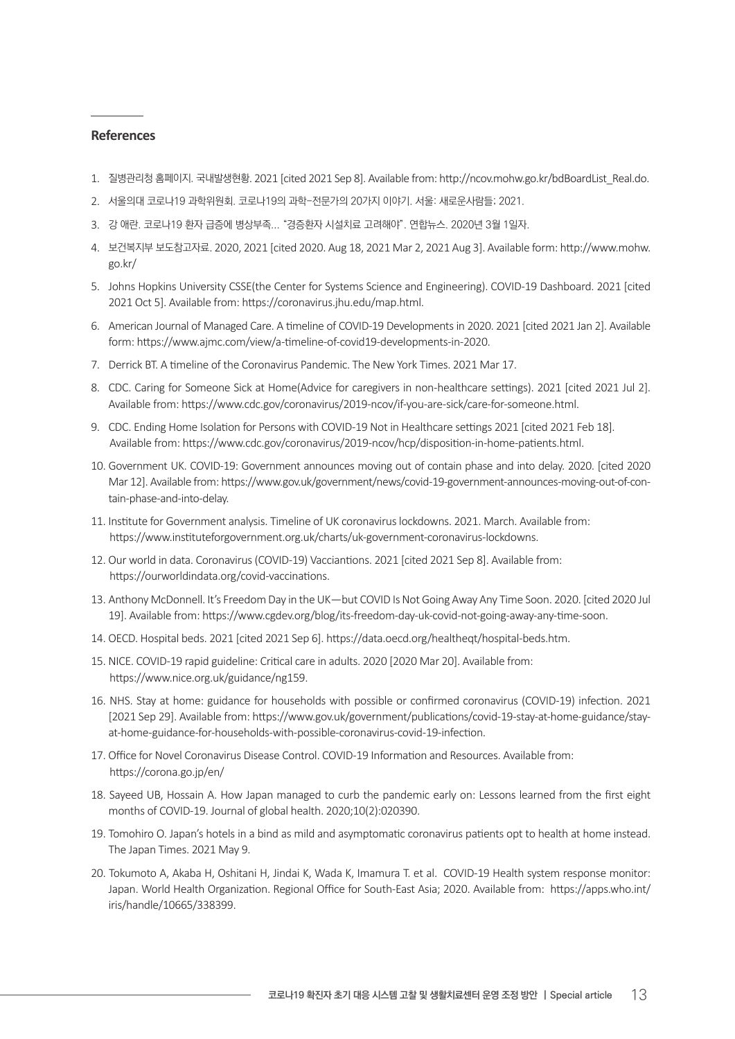#### **References**

- 1. 질병관리청 홈페이지. 국내발생현황. 2021 [cited 2021 Sep 8]. Available from: http://ncov.mohw.go.kr/bdBoardList\_Real.do.
- 2. 서울의대 코로나19 과학위원회. 코로나19의 과학-전문가의 20가지 이야기. 서울: 새로운사람들; 2021.
- 3. 강 애란. 코로나19 환자 급증에 병상부족... "경증환자 시설치료 고려해야". 연합뉴스. 2020년 3월 1일자.
- 4. 보건복지부 보도참고자료. 2020, 2021 [cited 2020. Aug 18, 2021 Mar 2, 2021 Aug 3]. Available form: http://www.mohw. go.kr/
- 5. Johns Hopkins University CSSE(the Center for Systems Science and Engineering). COVID-19 Dashboard. 2021 [cited 2021 Oct 5]. Available from: https://coronavirus.jhu.edu/map.html.
- 6. American Journal of Managed Care. A timeline of COVID-19 Developments in 2020. 2021 [cited 2021 Jan 2]. Available form: https://www.ajmc.com/view/a-timeline-of-covid19-developments-in-2020.
- 7. Derrick BT. A timeline of the Coronavirus Pandemic. The New York Times. 2021 Mar 17.
- 8. CDC. Caring for Someone Sick at Home(Advice for caregivers in non-healthcare settings). 2021 [cited 2021 Jul 2]. Available from: https://www.cdc.gov/coronavirus/2019-ncov/if-you-are-sick/care-for-someone.html.
- 9. CDC. Ending Home Isolation for Persons with COVID-19 Not in Healthcare settings 2021 [cited 2021 Feb 18]. Available from: https://www.cdc.gov/coronavirus/2019-ncov/hcp/disposition-in-home-patients.html.
- 10. Government UK. COVID-19: Government announces moving out of contain phase and into delay. 2020. [cited 2020 Mar 12]. Available from: https://www.gov.uk/government/news/covid-19-government-announces-moving-out-of-contain-phase-and-into-delay.
- 11. Institute for Government analysis. Timeline of UK coronaviruslockdowns. 2021. March. Available from: https://www.instituteforgovernment.org.uk/charts/uk-government-coronavirus-lockdowns.
- 12. Our world in data. Coronavirus(COVID-19) Vacciantions. 2021 [cited 2021 Sep 8]. Available from: https://ourworldindata.org/covid-vaccinations.
- 13. Anthony McDonnell. It's Freedom Day in the UK—but COVID Is Not Going Away Any Time Soon. 2020. [cited 2020 Jul 19]. Available from: https://www.cgdev.org/blog/its-freedom-day-uk-covid-not-going-away-any-time-soon.
- 14. OECD. Hospital beds. 2021 [cited 2021 Sep 6]. https://data.oecd.org/healtheqt/hospital-beds.htm.
- 15. NICE. COVID-19 rapid guideline: Critical care in adults. 2020 [2020 Mar 20]. Available from: https://www.nice.org.uk/guidance/ng159.
- 16. NHS. Stay at home: guidance for households with possible or confirmed coronavirus (COVID-19) infection. 2021 [2021 Sep 29]. Available from: https://www.gov.uk/government/publications/covid-19-stay-at-home-guidance/stayat-home-guidance-for-households-with-possible-coronavirus-covid-19-infection.
- 17. Office for Novel Coronavirus Disease Control. COVID-19 Information and Resources. Available from: https://corona.go.jp/en/
- 18. Sayeed UB, Hossain A. How Japan managed to curb the pandemic early on: Lessons learned from the first eight months of COVID-19. Journal of global health. 2020;10(2):020390.
- 19. Tomohiro O. Japan's hotels in a bind as mild and asymptomatic coronavirus patients opt to health at home instead. The Japan Times. 2021 May 9.
- 20. Tokumoto A, Akaba H, Oshitani H, Jindai K, Wada K, Imamura T. et al. COVID-19 Health system response monitor: Japan. World Health Organization. Regional Office for South-East Asia; 2020. Available from: https://apps.who.int/ iris/handle/10665/338399.